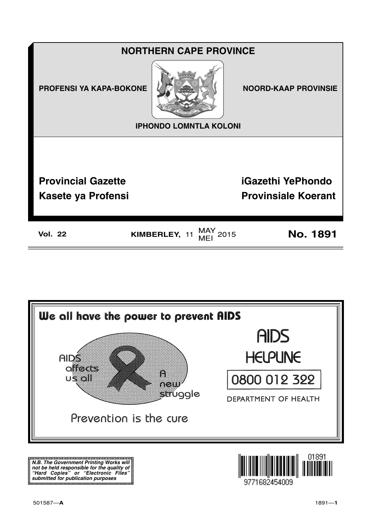



N.B. The Government Printing Works will iv.b. The Government Printing works will<br>not be held responsible for the quality of<br>"Hard" Copies" or "Electronic Files"<br>submitted for publication purposes

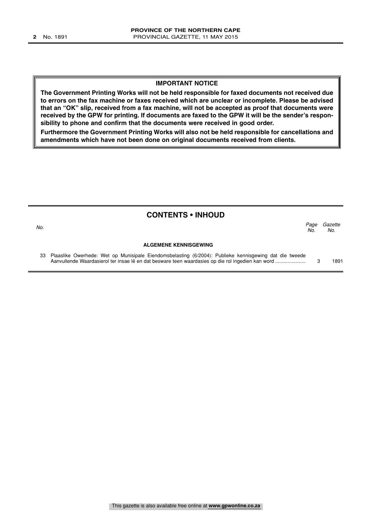#### **IMPORTANT NOTICE**

**The Government Printing Works will not be held responsible for faxed documents not received due to errors on the fax machine or faxes received which are unclear or incomplete. Please be advised that an "OK" slip, received from a fax machine, will not be accepted as proof that documents were received by the GPW for printing. If documents are faxed to the GPW it will be the sender's responsibility to phone and confirm that the documents were received in good order.**

**Furthermore the Government Printing Works will also not be held responsible for cancellations and amendments which have not been done on original documents received from clients.**

| <b>CONTENTS • INHOUD</b> |                                                                                                                                                                                                             |             |                |  |
|--------------------------|-------------------------------------------------------------------------------------------------------------------------------------------------------------------------------------------------------------|-------------|----------------|--|
| No.                      |                                                                                                                                                                                                             | Page<br>No. | Gazette<br>No. |  |
|                          | <b>ALGEMENE KENNISGEWING</b>                                                                                                                                                                                |             |                |  |
| 33                       | Plaaslike Owerhede: Wet op Munisipale Eiendomsbelasting (6/2004): Publieke kennisgewing dat die tweede<br>Aanvullende Waardasierol ter insae lê en dat besware teen waardasies op die rol ingedien kan word |             | 1891           |  |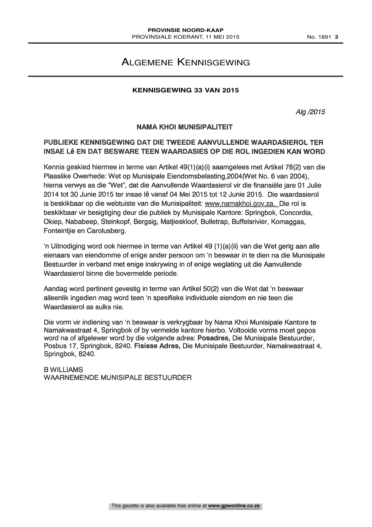# ALGEMENE KENNISGEWING

### **KENNISGEWING 33 VAN 2015**

Alg /2015

#### NAMA KHOI MUNISIPALITEIT

## PUBLIEKE KENNISGEWING DAT DIE TWEEDE AANVULLENDE WAARDASIEROL TER INSAE LÊ EN DAT BESWARE TEEN WAARDASIES OP DIE ROL INGEDIEN KAN WORD

Kennis geskied hiermee in terme van Artikel 49(1)(a)(i) saamgelees met Artikel 78(2) van die Plaaslike Owerhede: Wet op Munisipale Eiendomsbelasting,2004(Wet No. 6 van 2004), hierna verwys as die "Wet", dat die Aanvullende Waardasierol vir die finansiele jare 01 Julie 2014 tot 30 Junie 2015 ter insae le vanaf 04 Mei 2015 tot 12 Junie 2015. Die waardasierol is beskikbaar op die webtuiste van die Munisipaliteit: www.namakhoi.gov.za. Die rol is beskikbaar vir besigtiging deur die publiek by Munisipale Kantore: Springbok, Concordia, Okiep, Nababeep, Steinkopf, Bergsig, Matjieskloof, Bulletrap, Buffelsrivier, Komaggas, Fonteintjie en Carolusberg.

'n Uitnodiging word ook hiermee in terme van Artikel 49 (1)(a)(ii) van die Wet gerig aan alle eienaars van eiendomme of enige ander persoon om 'n beswaar in te dien na die Munisipale Bestuurder in verband met enige inskrywing in of enige weglating uit die Aanvullende Waardasierol binne die bovermelde periode.

Aandag word pertinent gevestig in terme van Artikel 50(2) van die Wet dat 'n beswaar alleenlik ingedien mag word teen 'n spesifieke individuele eiendom en nie teen die Waardasierol as sulks nie.

Die vorm vir indiening van 'n beswaar is verkrygbaar by Nama Khoi Munisipale Kantore te Namakwastraat 4, Springbok of by vermelde kantore hierbo. Voltooide vorms moet gepos word na of afgelewer word by die volgende adres: Posadres, Die Munisipale Bestuurder, Posbus 17, Springbok, 8240. Fisiese Adres, Die Munisipale Bestuurder, Namakwastraat 4, Springbok, 8240.

B WILLIAMS WAARNEMENDE MUNISIPALE BESTUURDER